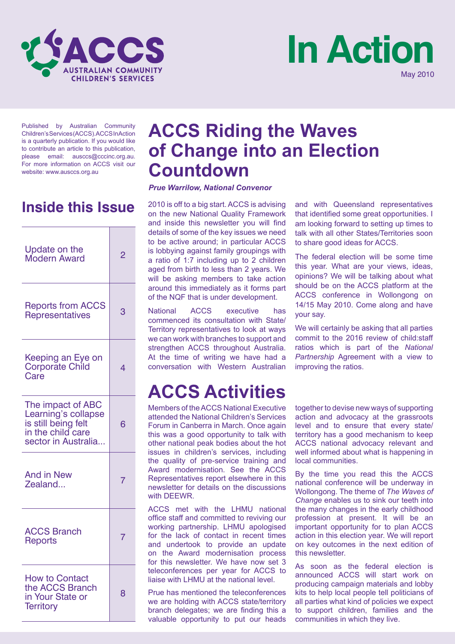



Published by Australian Community Children's Services (ACCS). ACCS In Action is a quarterly publication. If you would like to contribute an article to this publication, please email: ausccs@cccinc.org.au. For more information on ACCS visit our website: www.ausccs.org.au

# **Inside this Issue**

| Update on the<br>Modern Award                                                                               | 2 |
|-------------------------------------------------------------------------------------------------------------|---|
| <b>Reports from ACCS</b><br><b>Representatives</b>                                                          | З |
| Keeping an Eye on<br>Corporate Child<br>Care                                                                | 4 |
| The impact of ABC<br>Learning's collapse<br>is still being felt<br>in the child care<br>sector in Australia | 6 |
| <b>And in New</b><br>Zealand                                                                                | 7 |
| <b>ACCS Branch</b><br>Reports                                                                               | 7 |
| <b>How to Contact</b><br>the ACCS Branch<br>in Your State or<br><b>Territory</b>                            | 8 |

# **ACCS Riding the Waves of Change into an Election Countdown**

*Prue Warrilow, National Convenor*

2010 is off to a big start. ACCS is advising on the new National Quality Framework and inside this newsletter you will find details of some of the key issues we need to be active around; in particular ACCS is lobbying against family groupings with a ratio of 1:7 including up to 2 children aged from birth to less than 2 years. We will be asking members to take action around this immediately as it forms part of the NQF that is under development.

National ACCS executive has commenced its consultation with State/ Territory representatives to look at ways we can work with branches to support and strengthen ACCS throughout Australia. At the time of writing we have had a conversation with Western Australian

# **ACCS Activities**

Members of the ACCS National Executive attended the National Children's Services Forum in Canberra in March. Once again this was a good opportunity to talk with other national peak bodies about the hot issues in children's services, including the quality of pre-service training and Award modernisation. See the ACCS Representatives report elsewhere in this newsletter for details on the discussions with DEEWR.

ACCS met with the LHMU national office staff and committed to reviving our working partnership. LHMU apologised for the lack of contact in recent times and undertook to provide an update on the Award modernisation process for this newsletter. We have now set 3 teleconferences per year for ACCS to liaise with LHMU at the national level.

Prue has mentioned the teleconferences we are holding with ACCS state/territory branch delegates; we are finding this a valuable opportunity to put our heads and with Queensland representatives that identified some great opportunities. I am looking forward to setting up times to talk with all other States/Territories soon to share good ideas for ACCS.

The federal election will be some time this year. What are your views, ideas, opinions? We will be talking about what should be on the ACCS platform at the ACCS conference in Wollongong on 14/15 May 2010. Come along and have your say.

We will certainly be asking that all parties commit to the 2016 review of child:staff ratios which is part of the *National Partnership* Agreement with a view to improving the ratios.

together to devise new ways of supporting action and advocacy at the grassroots level and to ensure that every state/ territory has a good mechanism to keep ACCS national advocacy relevant and well informed about what is happening in local communities.

By the time you read this the ACCS national conference will be underway in Wollongong. The theme of *The Waves of Change* enables us to sink our teeth into the many changes in the early childhood profession at present. It will be an important opportunity for to plan ACCS action in this election year. We will report on key outcomes in the next edition of this newsletter.

As soon as the federal election is announced ACCS will start work on producing campaign materials and lobby kits to help local people tell politicians of all parties what kind of policies we expect to support children, families and the communities in which they live.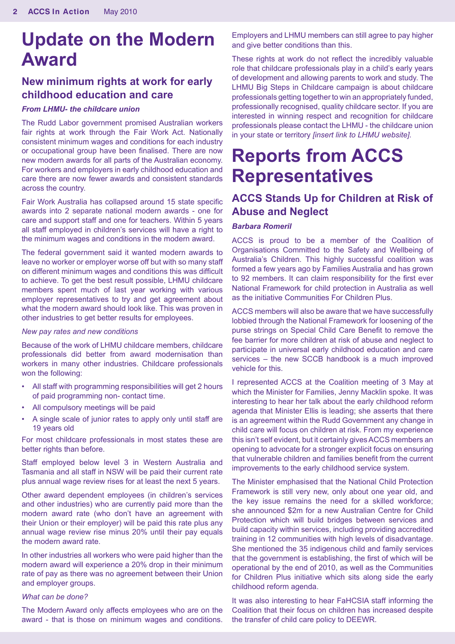# **Update on the Modern Award**

# **New minimum rights at work for early childhood education and care**

### *From LHMU- the childcare union*

The Rudd Labor government promised Australian workers fair rights at work through the Fair Work Act. Nationally consistent minimum wages and conditions for each industry or occupational group have been finalised. There are now new modern awards for all parts of the Australian economy. For workers and employers in early childhood education and care there are now fewer awards and consistent standards across the country.

Fair Work Australia has collapsed around 15 state specific awards into 2 separate national modern awards - one for care and support staff and one for teachers. Within 5 years all staff employed in children's services will have a right to the minimum wages and conditions in the modern award.

The federal government said it wanted modern awards to leave no worker or employer worse off but with so many staff on different minimum wages and conditions this was difficult to achieve. To get the best result possible, LHMU childcare members spent much of last year working with various employer representatives to try and get agreement about what the modern award should look like. This was proven in other industries to get better results for employees.

#### *New pay rates and new conditions*

Because of the work of LHMU childcare members, childcare professionals did better from award modernisation than workers in many other industries. Childcare professionals won the following:

- All staff with programming responsibilities will get 2 hours of paid programming non- contact time.
- All compulsory meetings will be paid
- A single scale of junior rates to apply only until staff are 19 years old

For most childcare professionals in most states these are better rights than before.

Staff employed below level 3 in Western Australia and Tasmania and all staff in NSW will be paid their current rate plus annual wage review rises for at least the next 5 years.

Other award dependent employees (in children's services and other industries) who are currently paid more than the modern award rate (who don't have an agreement with their Union or their employer) will be paid this rate plus any annual wage review rise minus 20% until their pay equals the modern award rate.

In other industries all workers who were paid higher than the modern award will experience a 20% drop in their minimum rate of pay as there was no agreement between their Union and employer groups.

#### *What can be done?*

The Modern Award only affects employees who are on the award - that is those on minimum wages and conditions.

Employers and LHMU members can still agree to pay higher and give better conditions than this.

These rights at work do not reflect the incredibly valuable role that childcare professionals play in a child's early years of development and allowing parents to work and study. The LHMU Big Steps in Childcare campaign is about childcare professionals getting together to win an appropriately funded, professionally recognised, quality childcare sector. If you are interested in winning respect and recognition for childcare professionals please contact the LHMU - the childcare union in your state or territory *[insert link to LHMU website].*

# **Reports from ACCS Representatives**

# **ACCS Stands Up for Children at Risk of Abuse and Neglect**

#### *Barbara Romeril*

ACCS is proud to be a member of the Coalition of Organisations Committed to the Safety and Wellbeing of Australia's Children. This highly successful coalition was formed a few years ago by Families Australia and has grown to 92 members. It can claim responsibility for the first ever National Framework for child protection in Australia as well as the initiative Communities For Children Plus.

ACCS members will also be aware that we have successfully lobbied through the National Framework for loosening of the purse strings on Special Child Care Benefit to remove the fee barrier for more children at risk of abuse and neglect to participate in universal early childhood education and care services – the new SCCB handbook is a much improved vehicle for this.

I represented ACCS at the Coalition meeting of 3 May at which the Minister for Families, Jenny Macklin spoke. It was interesting to hear her talk about the early childhood reform agenda that Minister Ellis is leading; she asserts that there is an agreement within the Rudd Government any change in child care will focus on children at risk. From my experience this isn't self evident, but it certainly gives ACCS members an opening to advocate for a stronger explicit focus on ensuring that vulnerable children and families benefit from the current improvements to the early childhood service system.

The Minister emphasised that the National Child Protection Framework is still very new, only about one year old, and the key issue remains the need for a skilled workforce; she announced \$2m for a new Australian Centre for Child Protection which will build bridges between services and build capacity within services, including providing accredited training in 12 communities with high levels of disadvantage. She mentioned the 35 indigenous child and family services that the government is establishing, the first of which will be operational by the end of 2010, as well as the Communities for Children Plus initiative which sits along side the early childhood reform agenda.

It was also interesting to hear FaHCSIA staff informing the Coalition that their focus on children has increased despite the transfer of child care policy to DEEWR.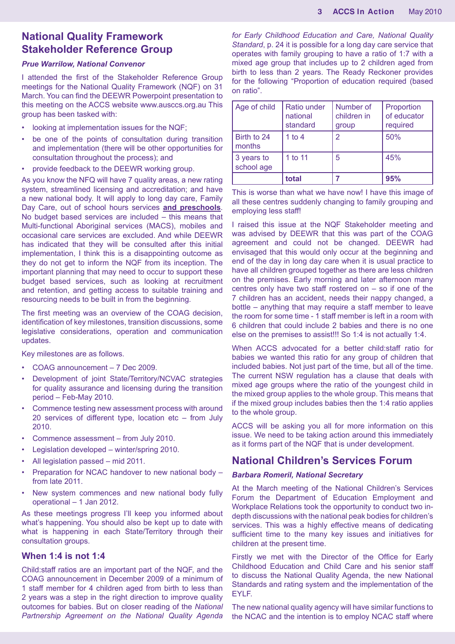# **National Quality Framework Stakeholder Reference Group**

#### *Prue Warrilow, National Convenor*

I attended the first of the Stakeholder Reference Group meetings for the National Quality Framework (NQF) on 31 March. You can find the DEEWR Powerpoint presentation to this meeting on the ACCS website www.ausccs.org.au This group has been tasked with:

- looking at implementation issues for the NQF;
- be one of the points of consultation during transition and implementation (there will be other opportunities for consultation throughout the process); and
- provide feedback to the DEEWR working group.

As you know the NFQ will have 7 quality areas, a new rating system, streamlined licensing and accreditation; and have a new national body. It will apply to long day care, Family Day Care, out of school hours services **and preschools**. No budget based services are included – this means that Multi-functional Aboriginal services (MACS), mobiles and occasional care services are excluded. And while DEEWR has indicated that they will be consulted after this initial implementation, I think this is a disappointing outcome as they do not get to inform the NQF from its inception. The important planning that may need to occur to support these budget based services, such as looking at recruitment and retention, and getting access to suitable training and resourcing needs to be built in from the beginning.

The first meeting was an overview of the COAG decision, identification of key milestones, transition discussions, some legislative considerations, operation and communication updates.

Key milestones are as follows.

- COAG announcement 7 Dec 2009.
- Development of joint State/Territory/NCVAC strategies for quality assurance and licensing during the transition period – Feb-May 2010.
- Commence testing new assessment process with around 20 services of different type, location etc – from July 2010.
- Commence assessment from July 2010.
- Legislation developed winter/spring 2010.
- All legislation passed mid 2011.
- Preparation for NCAC handover to new national body from late 2011.
- New system commences and new national body fully operational – 1 Jan 2012.

As these meetings progress I'll keep you informed about what's happening. You should also be kept up to date with what is happening in each State/Territory through their consultation groups.

### **When 1:4 is not 1:4**

Child:staff ratios are an important part of the NQF, and the COAG announcement in December 2009 of a minimum of 1 staff member for 4 children aged from birth to less than 2 years was a step in the right direction to improve quality outcomes for babies. But on closer reading of the *National Partnership Agreement on the National Quality Agenda* 

*for Early Childhood Education and Care, National Quality Standard*, p. 24 it is possible for a long day care service that operates with family grouping to have a ratio of 1:7 with a mixed age group that includes up to 2 children aged from birth to less than 2 years. The Ready Reckoner provides for the following "Proportion of education required (based on ratio".

| Age of child             | Ratio under<br>national<br>standard | Number of<br>children in<br>group | Proportion<br>of educator<br>required |
|--------------------------|-------------------------------------|-----------------------------------|---------------------------------------|
| Birth to 24<br>months    | 1 to 4                              | 2                                 | 50%                                   |
| 3 years to<br>school age | 1 to 11                             | 5                                 | 45%                                   |
|                          | total                               |                                   | 95%                                   |

This is worse than what we have now! I have this image of all these centres suddenly changing to family grouping and employing less staff!

I raised this issue at the NQF Stakeholder meeting and was advised by DEEWR that this was part of the COAG agreement and could not be changed. DEEWR had envisaged that this would only occur at the beginning and end of the day in long day care when it is usual practice to have all children grouped together as there are less children on the premises. Early morning and later afternoon many centres only have two staff rostered on – so if one of the 7 children has an accident, needs their nappy changed, a bottle – anything that may require a staff member to leave the room for some time - 1 staff member is left in a room with 6 children that could include 2 babies and there is no one else on the premises to assist!!! So 1:4 is not actually 1:4.

When ACCS advocated for a better child:staff ratio for babies we wanted this ratio for any group of children that included babies. Not just part of the time, but all of the time. The current NSW regulation has a clause that deals with mixed age groups where the ratio of the youngest child in the mixed group applies to the whole group. This means that if the mixed group includes babies then the 1:4 ratio applies to the whole group.

ACCS will be asking you all for more information on this issue. We need to be taking action around this immediately as it forms part of the NQF that is under development.

### **National Children's Services Forum**

### *Barbara Romeril, National Secretary*

At the March meeting of the National Children's Services Forum the Department of Education Employment and Workplace Relations took the opportunity to conduct two indepth discussions with the national peak bodies for children's services. This was a highly effective means of dedicating sufficient time to the many key issues and initiatives for children at the present time.

Firstly we met with the Director of the Office for Early Childhood Education and Child Care and his senior staff to discuss the National Quality Agenda, the new National Standards and rating system and the implementation of the EYLF.

The new national quality agency will have similar functions to the NCAC and the intention is to employ NCAC staff where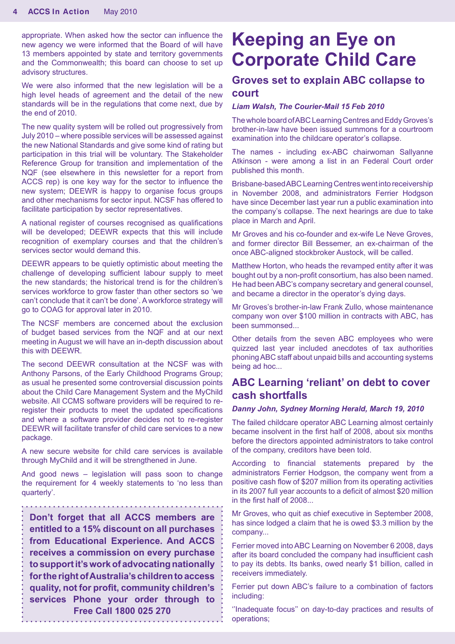appropriate. When asked how the sector can influence the new agency we were informed that the Board of will have 13 members appointed by state and territory governments and the Commonwealth; this board can choose to set up advisory structures.

We were also informed that the new legislation will be a high level heads of agreement and the detail of the new standards will be in the regulations that come next, due by the end of 2010.

The new quality system will be rolled out progressively from July 2010 – where possible services will be assessed against the new National Standards and give some kind of rating but participation in this trial will be voluntary. The Stakeholder Reference Group for transition and implementation of the NQF (see elsewhere in this newsletter for a report from ACCS rep) is one key way for the sector to influence the new system; DEEWR is happy to organise focus groups and other mechanisms for sector input. NCSF has offered to facilitate participation by sector representatives.

A national register of courses recognised as qualifications will be developed: DEEWR expects that this will include recognition of exemplary courses and that the children's services sector would demand this.

DEEWR appears to be quietly optimistic about meeting the challenge of developing sufficient labour supply to meet the new standards; the historical trend is for the children's services workforce to grow faster than other sectors so 'we can't conclude that it can't be done'. A workforce strategy will go to COAG for approval later in 2010.

The NCSF members are concerned about the exclusion of budget based services from the NQF and at our next meeting in August we will have an in-depth discussion about this with DEEWR.

The second DEEWR consultation at the NCSF was with Anthony Parsons, of the Early Childhood Programs Group; as usual he presented some controversial discussion points about the Child Care Management System and the MyChild website. All CCMS software providers will be required to reregister their products to meet the updated specifications and where a software provider decides not to re-register DEEWR will facilitate transfer of child care services to a new package.

A new secure website for child care services is available through MyChild and it will be strengthened in June.

And good news – legislation will pass soon to change the requirement for 4 weekly statements to 'no less than quarterly'.

**Don't forget that all ACCS members are entitled to a 15% discount on all purchases from Educational Experience. And ACCS receives a commission on every purchase to support it's work of advocating nationally for the right of Australia's children to access quality, not for profit, community children's services Phone your order through to Free Call 1800 025 270**

# **Keeping an Eye on Corporate Child Care**

# **Groves set to explain ABC collapse to court**

#### *Liam Walsh, The Courier-Mail 15 Feb 2010*

The whole board of ABC Learning Centres and Eddy Groves's brother-in-law have been issued summons for a courtroom examination into the childcare operator's collapse.

The names - including ex-ABC chairwoman Sallyanne Atkinson - were among a list in an Federal Court order published this month.

Brisbane-based ABC Learning Centres went into receivership in November 2008, and administrators Ferrier Hodgson have since December last year run a public examination into the company's collapse. The next hearings are due to take place in March and April.

Mr Groves and his co-founder and ex-wife Le Neve Groves, and former director Bill Bessemer, an ex-chairman of the once ABC-aligned stockbroker Austock, will be called.

Matthew Horton, who heads the revamped entity after it was bought out by a non-profit consortium, has also been named. He had been ABC's company secretary and general counsel, and became a director in the operator's dying days.

Mr Groves's brother-in-law Frank Zullo, whose maintenance company won over \$100 million in contracts with ABC, has been summonsed...

Other details from the seven ABC employees who were quizzed last year included anecdotes of tax authorities phoning ABC staff about unpaid bills and accounting systems being ad hoc...

### **ABC Learning 'reliant' on debt to cover cash shortfalls**

#### *Danny John, Sydney Morning Herald, March 19, 2010*

The failed childcare operator ABC Learning almost certainly became insolvent in the first half of 2008, about six months before the directors appointed administrators to take control of the company, creditors have been told.

According to financial statements prepared by the administrators Ferrier Hodgson, the company went from a positive cash flow of \$207 million from its operating activities in its 2007 full year accounts to a deficit of almost \$20 million in the first half of 2008...

Mr Groves, who quit as chief executive in September 2008, has since lodged a claim that he is owed \$3.3 million by the company...

Ferrier moved into ABC Learning on November 6 2008, days after its board concluded the company had insufficient cash to pay its debts. Its banks, owed nearly \$1 billion, called in receivers immediately.

Ferrier put down ABC's failure to a combination of factors including:

''Inadequate focus'' on day-to-day practices and results of operations;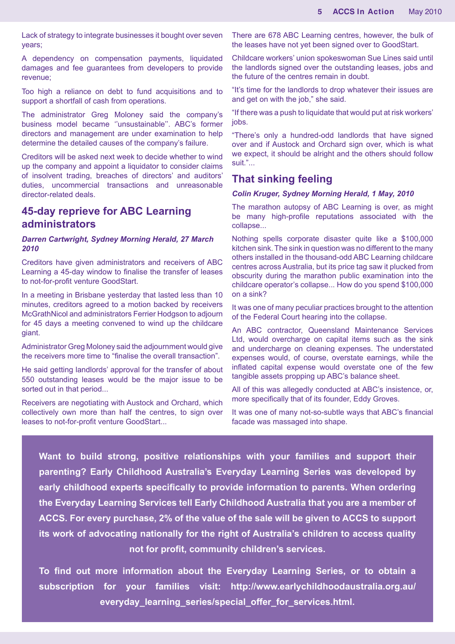Lack of strategy to integrate businesses it bought over seven years;

A dependency on compensation payments, liquidated damages and fee guarantees from developers to provide revenue;

Too high a reliance on debt to fund acquisitions and to support a shortfall of cash from operations.

The administrator Greg Moloney said the company's business model became ''unsustainable''. ABC's former directors and management are under examination to help determine the detailed causes of the company's failure.

Creditors will be asked next week to decide whether to wind up the company and appoint a liquidator to consider claims of insolvent trading, breaches of directors' and auditors' duties, uncommercial transactions and unreasonable director-related deals.

### **45-day reprieve for ABC Learning administrators**

#### *Darren Cartwright, Sydney Morning Herald, 27 March 2010*

Creditors have given administrators and receivers of ABC Learning a 45-day window to finalise the transfer of leases to not-for-profit venture GoodStart.

In a meeting in Brisbane yesterday that lasted less than 10 minutes, creditors agreed to a motion backed by receivers McGrathNicol and administrators Ferrier Hodgson to adjourn for 45 days a meeting convened to wind up the childcare giant.

Administrator Greg Moloney said the adjournment would give the receivers more time to "finalise the overall transaction".

He said getting landlords' approval for the transfer of about 550 outstanding leases would be the major issue to be sorted out in that period...

Receivers are negotiating with Austock and Orchard, which collectively own more than half the centres, to sign over leases to not-for-profit venture GoodStart...

There are 678 ABC Learning centres, however, the bulk of the leases have not yet been signed over to GoodStart.

Childcare workers' union spokeswoman Sue Lines said until the landlords signed over the outstanding leases, jobs and the future of the centres remain in doubt.

"It's time for the landlords to drop whatever their issues are and get on with the job," she said.

"If there was a push to liquidate that would put at risk workers' jobs.

"There's only a hundred-odd landlords that have signed over and if Austock and Orchard sign over, which is what we expect, it should be alright and the others should follow suit."...

### **That sinking feeling**

#### *Colin Kruger, Sydney Morning Herald, 1 May, 2010*

The marathon autopsy of ABC Learning is over, as might be many high-profile reputations associated with the collapse...

Nothing spells corporate disaster quite like a \$100,000 kitchen sink. The sink in question was no different to the many others installed in the thousand-odd ABC Learning childcare centres across Australia, but its price tag saw it plucked from obscurity during the marathon public examination into the childcare operator's collapse... How do you spend \$100,000 on a sink?

It was one of many peculiar practices brought to the attention of the Federal Court hearing into the collapse.

An ABC contractor, Queensland Maintenance Services Ltd, would overcharge on capital items such as the sink and undercharge on cleaning expenses. The understated expenses would, of course, overstate earnings, while the inflated capital expense would overstate one of the few tangible assets propping up ABC's balance sheet.

All of this was allegedly conducted at ABC's insistence, or, more specifically that of its founder, Eddy Groves.

It was one of many not-so-subtle ways that ABC's financial facade was massaged into shape.

**Want to build strong, positive relationships with your families and support their parenting? Early Childhood Australia's Everyday Learning Series was developed by early childhood experts specifically to provide information to parents. When ordering the Everyday Learning Services tell Early Childhood Australia that you are a member of ACCS. For every purchase, 2% of the value of the sale will be given to ACCS to support its work of advocating nationally for the right of Australia's children to access quality not for profit, community children's services.**

**To find out more information about the Everyday Learning Series, or to obtain a subscription for your families visit: http://www.earlychildhoodaustralia.org.au/** everyday learning series/special offer for services.html.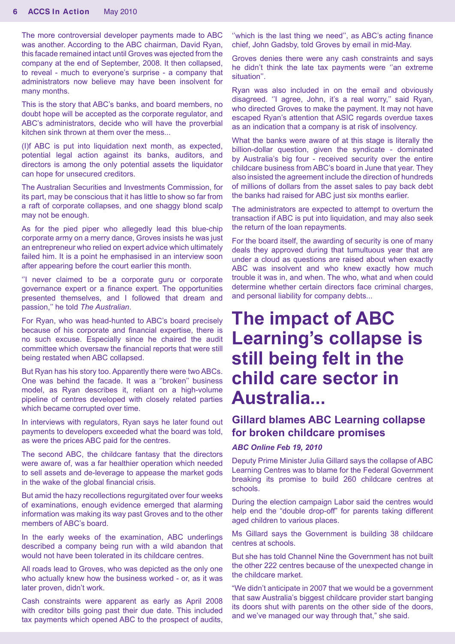The more controversial developer payments made to ABC was another. According to the ABC chairman, David Ryan, this facade remained intact until Groves was ejected from the company at the end of September, 2008. It then collapsed, to reveal - much to everyone's surprise - a company that administrators now believe may have been insolvent for many months.

This is the story that ABC's banks, and board members, no doubt hope will be accepted as the corporate regulator, and ABC's administrators, decide who will have the proverbial kitchen sink thrown at them over the mess...

(I)f ABC is put into liquidation next month, as expected, potential legal action against its banks, auditors, and directors is among the only potential assets the liquidator can hope for unsecured creditors.

The Australian Securities and Investments Commission, for its part, may be conscious that it has little to show so far from a raft of corporate collapses, and one shaggy blond scalp may not be enough.

As for the pied piper who allegedly lead this blue-chip corporate army on a merry dance, Groves insists he was just an entrepreneur who relied on expert advice which ultimately failed him. It is a point he emphasised in an interview soon after appearing before the court earlier this month.

''I never claimed to be a corporate guru or corporate governance expert or a finance expert. The opportunities presented themselves, and I followed that dream and passion,'' he told *The Australian*.

For Ryan, who was head-hunted to ABC's board precisely because of his corporate and financial expertise, there is no such excuse. Especially since he chaired the audit committee which oversaw the financial reports that were still being restated when ABC collapsed.

But Ryan has his story too. Apparently there were two ABCs. One was behind the facade. It was a ''broken'' business model, as Ryan describes it, reliant on a high-volume pipeline of centres developed with closely related parties which became corrupted over time.

In interviews with regulators, Ryan says he later found out payments to developers exceeded what the board was told, as were the prices ABC paid for the centres.

The second ABC, the childcare fantasy that the directors were aware of, was a far healthier operation which needed to sell assets and de-leverage to appease the market gods in the wake of the global financial crisis.

But amid the hazy recollections regurgitated over four weeks of examinations, enough evidence emerged that alarming information was making its way past Groves and to the other members of ABC's board.

In the early weeks of the examination, ABC underlings described a company being run with a wild abandon that would not have been tolerated in its childcare centres.

All roads lead to Groves, who was depicted as the only one who actually knew how the business worked - or, as it was later proven, didn't work.

Cash constraints were apparent as early as April 2008 with creditor bills going past their due date. This included tax payments which opened ABC to the prospect of audits,

''which is the last thing we need'', as ABC's acting finance chief, John Gadsby, told Groves by email in mid-May.

Groves denies there were any cash constraints and says he didn't think the late tax payments were ''an extreme situation''.

Ryan was also included in on the email and obviously disagreed. ''I agree, John, it's a real worry,'' said Ryan, who directed Groves to make the payment. It may not have escaped Ryan's attention that ASIC regards overdue taxes as an indication that a company is at risk of insolvency.

What the banks were aware of at this stage is literally the billion-dollar question, given the syndicate - dominated by Australia's big four - received security over the entire childcare business from ABC's board in June that year. They also insisted the agreement include the direction of hundreds of millions of dollars from the asset sales to pay back debt the banks had raised for ABC just six months earlier.

The administrators are expected to attempt to overturn the transaction if ABC is put into liquidation, and may also seek the return of the loan repayments.

For the board itself, the awarding of security is one of many deals they approved during that tumultuous year that are under a cloud as questions are raised about when exactly ABC was insolvent and who knew exactly how much trouble it was in, and when. The who, what and when could determine whether certain directors face criminal charges, and personal liability for company debts...

# **The impact of ABC Learning's collapse is still being felt in the child care sector in Australia...**

# **Gillard blames ABC Learning collapse for broken childcare promises**

### *ABC Online Feb 19, 2010*

Deputy Prime Minister Julia Gillard says the collapse of ABC Learning Centres was to blame for the Federal Government breaking its promise to build 260 childcare centres at schools.

During the election campaign Labor said the centres would help end the "double drop-off" for parents taking different aged children to various places.

Ms Gillard says the Government is building 38 childcare centres at schools.

But she has told Channel Nine the Government has not built the other 222 centres because of the unexpected change in the childcare market.

"We didn't anticipate in 2007 that we would be a government that saw Australia's biggest childcare provider start banging its doors shut with parents on the other side of the doors, and we've managed our way through that," she said.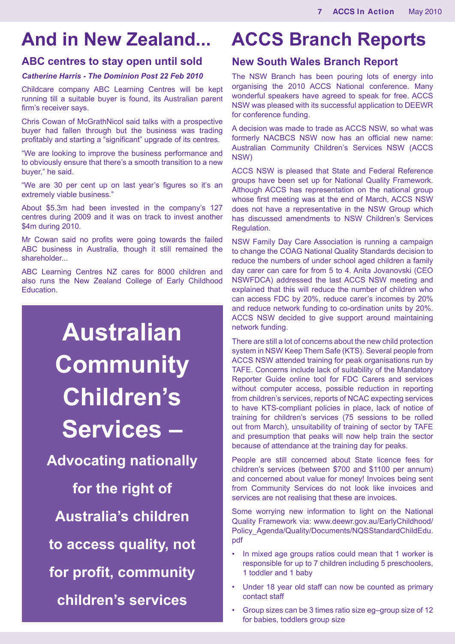# **And in New Zealand...**

### **ABC centres to stay open until sold**

### *Catherine Harris - The Dominion Post 22 Feb 2010*

Childcare company ABC Learning Centres will be kept running till a suitable buyer is found, its Australian parent firm's receiver says.

Chris Cowan of McGrathNicol said talks with a prospective buyer had fallen through but the business was trading profitably and starting a "significant" upgrade of its centres.

"We are looking to improve the business performance and to obviously ensure that there's a smooth transition to a new buyer," he said.

"We are 30 per cent up on last year's figures so it's an extremely viable business."

About \$5.3m had been invested in the company's 127 centres during 2009 and it was on track to invest another \$4m during 2010.

Mr Cowan said no profits were going towards the failed ABC business in Australia, though it still remained the shareholder

ABC Learning Centres NZ cares for 8000 children and also runs the New Zealand College of Early Childhood Education.

# **Australian Community Children's Services – Advocating nationally for the right of Australia's children to access quality, not for profit, community children's services**

# **ACCS Branch Reports**

### **New South Wales Branch Report**

The NSW Branch has been pouring lots of energy into organising the 2010 ACCS National conference. Many wonderful speakers have agreed to speak for free. ACCS NSW was pleased with its successful application to DEEWR for conference funding.

A decision was made to trade as ACCS NSW, so what was formerly NACBCS NSW now has an official new name: Australian Community Children's Services NSW (ACCS NSW)

ACCS NSW is pleased that State and Federal Reference groups have been set up for National Quality Framework. Although ACCS has representation on the national group whose first meeting was at the end of March, ACCS NSW does not have a representative in the NSW Group which has discussed amendments to NSW Children's Services Regulation.

NSW Family Day Care Association is running a campaign to change the COAG National Quality Standards decision to reduce the numbers of under school aged children a family day carer can care for from 5 to 4. Anita Jovanovski (CEO NSWFDCA) addressed the last ACCS NSW meeting and explained that this will reduce the number of children who can access FDC by 20%, reduce carer's incomes by 20% and reduce network funding to co-ordination units by 20%. ACCS NSW decided to give support around maintaining network funding.

There are still a lot of concerns about the new child protection system in NSW Keep Them Safe (KTS). Several people from ACCS NSW attended training for peak organisations run by TAFE. Concerns include lack of suitability of the Mandatory Reporter Guide online tool for FDC Carers and services without computer access, possible reduction in reporting from children's services, reports of NCAC expecting services to have KTS-compliant policies in place, lack of notice of training for children's services (75 sessions to be rolled out from March), unsuitability of training of sector by TAFE and presumption that peaks will now help train the sector because of attendance at the training day for peaks.

People are still concerned about State licence fees for children's services (between \$700 and \$1100 per annum) and concerned about value for money! Invoices being sent from Community Services do not look like invoices and services are not realising that these are invoices.

Some worrying new information to light on the National Quality Framework via: www.deewr.gov.au/EarlyChildhood/ Policy\_Agenda/Quality/Documents/NQSStandardChildEdu. pdf

- In mixed age groups ratios could mean that 1 worker is responsible for up to 7 children including 5 preschoolers, 1 toddler and 1 baby
- Under 18 year old staff can now be counted as primary contact staff
- Group sizes can be 3 times ratio size eg–group size of 12 for babies, toddlers group size